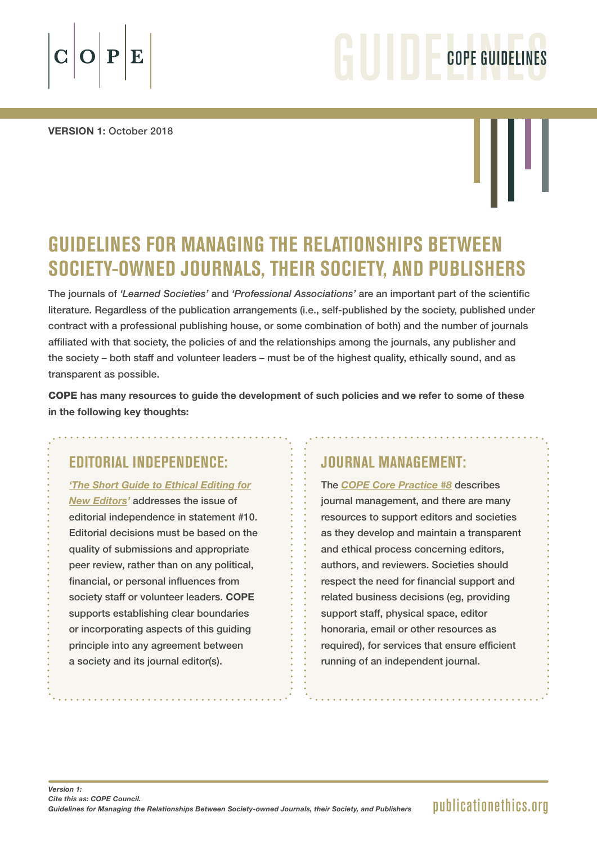# **GUIDELINES**

Version 1: October 2018

E



## **Guidelines for managing the relationships between society-owned journals, their society, and publishers**

The journals of *'Learned Societies'* and *'Professional Associations'* are an important part of the scientific literature. Regardless of the publication arrangements (i.e., self-published by the society, published under contract with a professional publishing house, or some combination of both) and the number of journals affiliated with that society, the policies of and the relationships among the journals, any publisher and the society – both staff and volunteer leaders – must be of the highest quality, ethically sound, and as transparent as possible.

COPE has many resources to guide the development of such policies and we refer to some of these in the following key thoughts:

#### **Editorial Independence:**

*['The Short Guide to Ethical Editing for](https://bit.ly/2OhIhpU) [New Editors'](https://bit.ly/2OhIhpU)* addresses the issue of editorial independence in statement #10. Editorial decisions must be based on the quality of submissions and appropriate peer review, rather than on any political, financial, or personal influences from society staff or volunteer leaders. COPE supports establishing clear boundaries or incorporating aspects of this guiding principle into any agreement between a society and its journal editor(s).

#### **Journal Management:**

The *[COPE Core Practice #8](https://publicationethics.org/management)* describes journal management, and there are many resources to support editors and societies as they develop and maintain a transparent and ethical process concerning editors, authors, and reviewers. Societies should respect the need for financial support and related business decisions (eg, providing support staff, physical space, editor honoraria, email or other resources as required), for services that ensure efficient running of an independent journal.

### [publicationethics.org](https://publicationethics.org/)